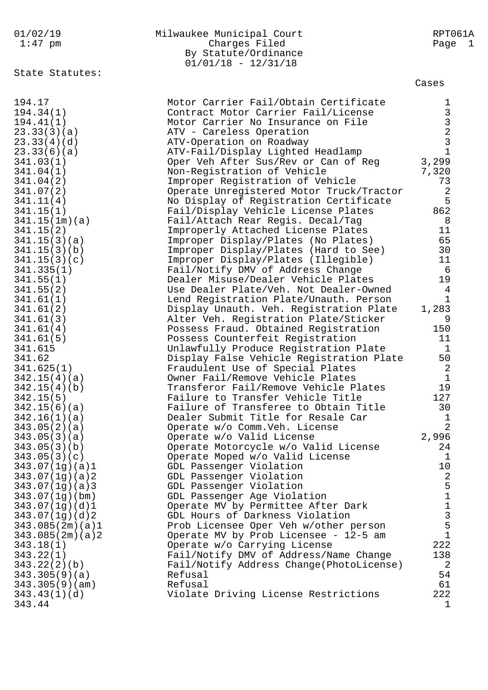| 01/02/19          | Milwaukee Municipal Court                                                    | RPT061A                                                |
|-------------------|------------------------------------------------------------------------------|--------------------------------------------------------|
| $1:47$ pm         | Charges Filed                                                                | Page<br>$\perp$                                        |
|                   | By Statute/Ordinance                                                         |                                                        |
|                   | $01/01/18 - 12/31/18$                                                        |                                                        |
| State Statutes:   |                                                                              |                                                        |
|                   |                                                                              | Cases                                                  |
|                   |                                                                              |                                                        |
| 194.17            | Motor Carrier Fail/Obtain Certificate                                        | 1                                                      |
| 194.34(1)         | Contract Motor Carrier Fail/License                                          |                                                        |
| 194.41(1)         | Motor Carrier No Insurance on File                                           |                                                        |
| 23.33(3)(a)       | ATV - Careless Operation                                                     |                                                        |
| 23.33(4)(d)       | ATV-Operation on Roadway                                                     | $\begin{array}{c}\n3 \\ 3 \\ 2 \\ 3 \\ 1\n\end{array}$ |
| 23.33(6)(a)       | ATV-Fail/Display Lighted Headlamp                                            |                                                        |
| 341.03(1)         | Oper Veh After Sus/Rev or Can of Reg                                         | 3,299                                                  |
| 341.04(1)         | Non-Registration of Vehicle                                                  | 7,320                                                  |
| 341.04(2)         | Improper Registration of Vehicle                                             | 73                                                     |
| 341.07(2)         | Operate Unregistered Motor Truck/Tractor                                     | $\sqrt{2}$                                             |
| 341.11(4)         | No Display of Registration Certificate                                       | 5                                                      |
| 341.15(1)         | Fail/Display Vehicle License Plates                                          | 862                                                    |
| 341.15(1m)(a)     | Fail/Attach Rear Regis. Decal/Tag                                            | 8                                                      |
| 341.15(2)         | Improperly Attached License Plates                                           | 11                                                     |
| 341.15(3)(a)      | Improper Display/Plates (No Plates)                                          | 65                                                     |
| 341.15(3)(b)      | Improper Display/Plates (Hard to See)                                        | 30                                                     |
| 341.15(3)(c)      | Improper Display/Plates (Illegible)                                          | 11                                                     |
| 341.335(1)        | Fail/Notify DMV of Address Change                                            | - 6                                                    |
| 341.55(1)         | Dealer Misuse/Dealer Vehicle Plates                                          | 19                                                     |
| 341.55(2)         | Use Dealer Plate/Veh. Not Dealer-Owned                                       | 4                                                      |
| 341.61(1)         | Lend Registration Plate/Unauth. Person                                       | $\mathbf{1}$                                           |
| 341.61(2)         | Display Unauth. Veh. Registration Plate                                      | 1,283                                                  |
| 341.61(3)         | Alter Veh. Registration Plate/Sticker                                        | 9                                                      |
| 341.61(4)         | Possess Fraud. Obtained Registration                                         | 150                                                    |
| 341.61(5)         | Possess Counterfeit Registration                                             | 11<br>$\mathbf{1}$                                     |
| 341.615<br>341.62 | Unlawfully Produce Registration Plate                                        | 50                                                     |
| 341.625(1)        | Display False Vehicle Registration Plate<br>Fraudulent Use of Special Plates | 2                                                      |
| 342.15(4)(a)      | Owner Fail/Remove Vehicle Plates                                             | $\mathbf{1}$                                           |
| 342.15(4)(b)      | Transferor Fail/Remove Vehicle Plates                                        | 19                                                     |
| 342.15(5)         | Failure to Transfer Vehicle Title                                            | 127                                                    |
| 342.15(6)(a)      | Failure of Transferee to Obtain Title                                        | 30                                                     |
| 342.16(1)(a)      | Dealer Submit Title for Resale Car                                           | 1                                                      |
| 343.05(2)(a)      | Operate w/o Comm. Veh. License                                               | $\overline{2}$                                         |
| 343.05(3)(a)      | Operate w/o Valid License                                                    | 2,996                                                  |
| 343.05(3)(b)      | Operate Motorcycle w/o Valid License                                         | 24                                                     |
| 343.05(3)(c)      | Operate Moped w/o Valid License                                              | $\mathbf{1}$                                           |
| 343.07(1g)(a)1    | GDL Passenger Violation                                                      | 10                                                     |
| 343.07(1g)(a)2    | GDL Passenger Violation                                                      | $\sqrt{2}$                                             |
| 343.07(1g)(a)3    | GDL Passenger Violation                                                      | 5                                                      |
| 343.07(1q)(bm)    | GDL Passenger Age Violation                                                  | $\overline{1}$                                         |
| 343.07(1g)(d)1    | Operate MV by Permittee After Dark                                           | $\begin{array}{c} 1 \\ 3 \\ 5 \end{array}$             |
| 343.07(1g)(d)2    | GDL Hours of Darkness Violation                                              |                                                        |
| 343.085(2m)(a)1   | Prob Licensee Oper Veh w/other person                                        |                                                        |
| 343.085(2m)(a)2   | Operate MV by Prob Licensee - 12-5 am                                        | $\mathbf{1}$                                           |
| 343.18(1)         | Operate w/o Carrying License                                                 | 222                                                    |
| 343.22(1)         | Fail/Notify DMV of Address/Name Change                                       | 138                                                    |
| 343.22(2)(b)      | Fail/Notify Address Change(PhotoLicense)                                     | $\overline{2}$                                         |
| 343.305(9)(a)     | Refusal                                                                      | 54                                                     |
| 343.305(9)(am)    | Refusal                                                                      | 61                                                     |
| 343.43(1)(d)      | Violate Driving License Restrictions                                         | 222                                                    |
| 343.44            |                                                                              | 1                                                      |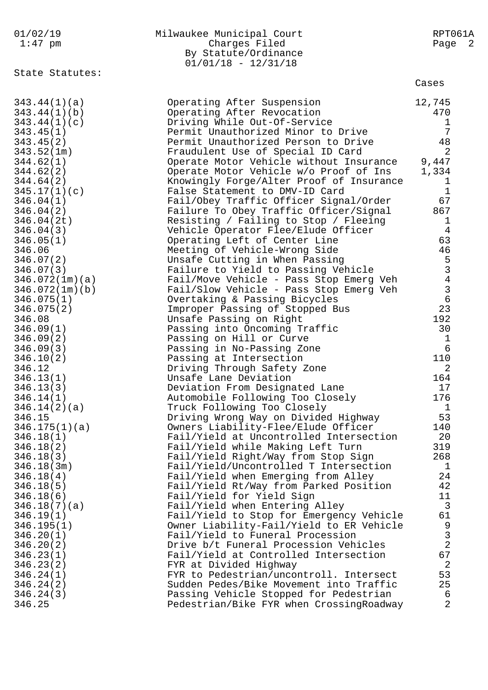| 01/02/19                    | Milwaukee Municipal Court                                                | RPT061A                                    |
|-----------------------------|--------------------------------------------------------------------------|--------------------------------------------|
| $1:47$ pm                   | Charges Filed                                                            | Page 2                                     |
|                             | By Statute/Ordinance                                                     |                                            |
|                             | $01/01/18 - 12/31/18$                                                    |                                            |
| State Statutes:             |                                                                          | Cases                                      |
|                             |                                                                          |                                            |
| 343.44(1)(a)                | Operating After Suspension                                               | 12,745                                     |
| 343.44(1)(b)                | Operating After Revocation                                               | 470                                        |
| 343.44(1)(c)                | Driving While Out-Of-Service                                             | 1                                          |
| 343.45(1)                   | Permit Unauthorized Minor to Drive                                       | 7                                          |
| 343.45(2)                   | Permit Unauthorized Person to Drive                                      | 48                                         |
| 343.52(1m)                  | Fraudulent Use of Special ID Card                                        | $\overline{2}$                             |
| 344.62(1)                   | Operate Motor Vehicle without Insurance                                  | 9,447                                      |
| 344.62(2)                   | Operate Motor Vehicle w/o Proof of Ins                                   | 1,334                                      |
| 344.64(2)                   | Knowingly Forge/Alter Proof of Insurance                                 | 1                                          |
| 345.17(1)(c)                | False Statement to DMV-ID Card                                           | $\mathbf{1}$                               |
| 346.04(1)                   | Fail/Obey Traffic Officer Signal/Order                                   | 67                                         |
| 346.04(2)                   | Failure To Obey Traffic Officer/Signal                                   | 867                                        |
| 346.04(2t)                  | Resisting / Failing to Stop / Fleeing                                    | $\mathbf{1}$                               |
| 346.04(3)                   | Vehicle Operator Flee/Elude Officer                                      | 4                                          |
| 346.05(1)                   | Operating Left of Center Line                                            | 63                                         |
| 346.06                      | Meeting of Vehicle-Wrong Side<br>Unsafe Cutting in When Passing          | 46                                         |
| 346.07(2)                   | Failure to Yield to Passing Vehicle                                      |                                            |
| 346.07(3)<br>346.072(1m)(a) | Fail/Move Vehicle - Pass Stop Emerg Veh                                  |                                            |
| 346.072(1m)(b)              | Fail/Slow Vehicle - Pass Stop Emerg Veh                                  | 5<br>3<br>4<br>3<br>6                      |
| 346.075(1)                  | Overtaking & Passing Bicycles                                            |                                            |
| 346.075(2)                  | Improper Passing of Stopped Bus                                          | 23                                         |
| 346.08                      | Unsafe Passing on Right                                                  | 192                                        |
| 346.09(1)                   | Passing into Oncoming Traffic                                            | 30                                         |
| 346.09(2)                   | Passing on Hill or Curve                                                 | 1                                          |
| 346.09(3)                   | Passing in No-Passing Zone                                               | 6                                          |
| 346.10(2)                   | Passing at Intersection                                                  | 110                                        |
| 346.12                      | Driving Through Safety Zone                                              | 2                                          |
| 346.13(1)                   | Unsafe Lane Deviation                                                    | 164                                        |
| 346.13(3)                   | Deviation From Designated Lane                                           | 17                                         |
| 346.14(1)                   | Automobile Following Too Closely                                         | 176                                        |
| 346.14(2)(a)                | Truck Following Too Closely                                              | 1                                          |
| 346.15                      | Driving Wrong Way on Divided Highway                                     | 53                                         |
| 346.175(1)(a)               | Owners Liability-Flee/Elude Officer                                      | 140                                        |
| 346.18(1)                   | Fail/Yield at Uncontrolled Intersection                                  | 20                                         |
| 346.18(2)                   | Fail/Yield while Making Left Turn<br>Fail/Yield Right/Way from Stop Sign | 319<br>268                                 |
| 346.18(3)<br>346.18(3m)     | Fail/Yield/Uncontrolled T Intersection                                   | 1                                          |
| 346.18(4)                   | Fail/Yield when Emerging from Alley                                      | 24                                         |
| 346.18(5)                   | Fail/Yield Rt/Way from Parked Position                                   | 42                                         |
| 346.18(6)                   | Fail/Yield for Yield Sign                                                | 11                                         |
| 346.18(7)(a)                | Fail/Yield when Entering Alley                                           | $\mathbf{3}$                               |
| 346.19(1)                   | Fail/Yield to Stop for Emergency Vehicle                                 | 61                                         |
| 346.195(1)                  | Owner Liability-Fail/Yield to ER Vehicle                                 |                                            |
| 346.20(1)                   | Fail/Yield to Funeral Procession                                         | $\begin{array}{c} 9 \\ 3 \\ 2 \end{array}$ |
| 346.20(2)                   | Drive b/t Funeral Procession Vehicles                                    |                                            |
| 346.23(1)                   | Fail/Yield at Controlled Intersection                                    | 67                                         |
| 346.23(2)                   | FYR at Divided Highway                                                   | $\overline{2}$                             |
| 346.24(1)                   | FYR to Pedestrian/uncontroll. Intersect                                  | 53                                         |
| 346.24(2)                   | Sudden Pedes/Bike Movement into Traffic                                  | 25                                         |
| 346.24(3)                   | Passing Vehicle Stopped for Pedestrian                                   | 6                                          |
| 346.25                      | Pedestrian/Bike FYR when CrossingRoadway                                 | $\overline{2}$                             |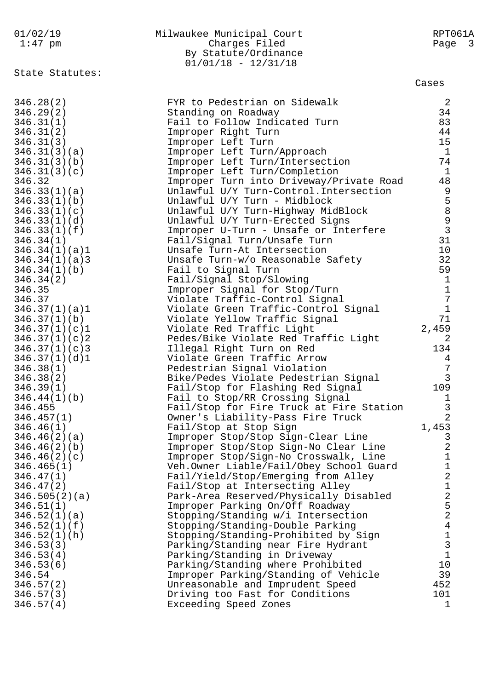| 01/02/19                   | Milwaukee Municipal Court                                                 | RPT061A                            |
|----------------------------|---------------------------------------------------------------------------|------------------------------------|
| $1:47$ pm                  | Charges Filed                                                             | Page<br>$\overline{\phantom{a}}$ 3 |
|                            | By Statute/Ordinance                                                      |                                    |
|                            | $01/01/18 - 12/31/18$                                                     |                                    |
| State Statutes:            |                                                                           |                                    |
|                            |                                                                           | Cases                              |
|                            |                                                                           |                                    |
| 346.28(2)                  | FYR to Pedestrian on Sidewalk                                             | $\overline{2}$                     |
| 346.29(2)                  | Standing on Roadway                                                       | 34                                 |
| 346.31(1)                  | Fail to Follow Indicated Turn                                             | 83                                 |
| 346.31(2)                  | Improper Right Turn                                                       | 44                                 |
| 346.31(3)                  | Improper Left Turn                                                        | 15                                 |
| 346.31(3)(a)               | Improper Left Turn/Approach                                               | $\overline{1}$                     |
| 346.31(3)(b)               | Improper Left Turn/Intersection                                           | 74                                 |
| 346.31(3)(c)               | Improper Left Turn/Completion                                             | $\mathbf{1}$                       |
| 346.32                     | Improper Turn into Driveway/Private Road                                  | 48                                 |
| 346.33(1)(a)               | Unlawful U/Y Turn-Control. Intersection                                   | 9                                  |
| 346.33(1)(b)               | Unlawful U/Y Turn - Midblock                                              | $\frac{5}{8}$                      |
| 346.33(1)(c)               | Unlawful U/Y Turn-Highway MidBlock                                        |                                    |
| 346.33(1)(d)               | Unlawful U/Y Turn-Erected Signs                                           | $\frac{9}{3}$                      |
| 346.33(1)(f)               | Improper U-Turn - Unsafe or Interfere                                     |                                    |
| 346.34(1)                  | Fail/Signal Turn/Unsafe Turn                                              | 31                                 |
| 346.34(1)(a)1              | Unsafe Turn-At Intersection                                               | 10                                 |
| 346.34(1)(a)3              | Unsafe Turn-w/o Reasonable Safety                                         | 32                                 |
| 346.34(1)(b)               | Fail to Signal Turn                                                       | 59                                 |
| 346.34(2)                  | Fail/Signal Stop/Slowing                                                  | $\mathbf 1$                        |
| 346.35                     | Improper Signal for Stop/Turn                                             | $1\,$                              |
| 346.37                     | Violate Traffic-Control Signal                                            | $\overline{7}$                     |
| 346.37(1)(a)1              | Violate Green Traffic-Control Signal                                      | $\mathbf{1}$                       |
| 346.37(1)(b)               | Violate Yellow Traffic Signal                                             | 71                                 |
| 346.37(1)(c)1              | Violate Red Traffic Light                                                 | 2,459                              |
| 346.37(1)(c)2              | Pedes/Bike Violate Red Traffic Light                                      | 2                                  |
| 346.37(1)(c)3              | Illegal Right Turn on Red                                                 | 134                                |
| 346.37(1)(d)1              | Violate Green Traffic Arrow                                               | 4                                  |
| 346.38(1)                  | Pedestrian Signal Violation                                               | $\overline{7}$                     |
| 346.38(2)                  | Bike/Pedes Violate Pedestrian Signal                                      | $\mathbf{3}$                       |
| 346.39(1)                  | Fail/Stop for Flashing Red Signal                                         | 109                                |
| 346.44(1)(b)               | Fail to Stop/RR Crossing Signal                                           | T                                  |
| 346.455                    | Fail/Stop for Fire Truck at Fire Station                                  | 3                                  |
| 346.457(1)                 | Owner's Liability-Pass Fire Truck                                         | $\overline{2}$                     |
| 346.46(1)                  | Fail/Stop at Stop Sign                                                    | 1,453                              |
| 346.46(2)(a)               | Improper Stop/Stop Sign-Clear Line                                        | 3                                  |
| 346.46(2)(b)               | Improper Stop/Stop Sign-No Clear Line                                     | 2<br>$\mathbf 1$                   |
| 346.46(2)(c)               | Improper Stop/Sign-No Crosswalk, Line                                     | $\mathbf 1$                        |
| 346.465(1)<br>346.47(1)    | Veh.Owner Liable/Fail/Obey School Guard                                   | $\overline{a}$                     |
|                            | Fail/Yield/Stop/Emerging from Alley                                       | $\mathbf 1$                        |
| 346.47(2)                  | Fail/Stop at Intersecting Alley<br>Park-Area Reserved/Physically Disabled | $\overline{a}$                     |
| 346.505(2)(a)<br>346.51(1) | Improper Parking On/Off Roadway                                           | 5                                  |
| 346.52(1)(a)               | Stopping/Standing w/i Intersection                                        | $\overline{a}$                     |
| 346.52(1)(f)               | Stopping/Standing-Double Parking                                          | $\overline{4}$                     |
| 346.52(1)(h)               | Stopping/Standing-Prohibited by Sign                                      | $\mathbf 1$                        |
| 346.53(3)                  | Parking/Standing near Fire Hydrant                                        | $\mathbf{3}$                       |
| 346.53(4)                  | Parking/Standing in Driveway                                              | $\mathbf{1}$                       |
| 346.53(6)                  | Parking/Standing where Prohibited                                         | 10                                 |
| 346.54                     | Improper Parking/Standing of Vehicle                                      | 39                                 |
| 346.57(2)                  | Unreasonable and Imprudent Speed                                          | 452                                |
| 346.57(3)                  | Driving too Fast for Conditions                                           | 101                                |
| 346.57(4)                  | Exceeding Speed Zones                                                     | 1                                  |
|                            |                                                                           |                                    |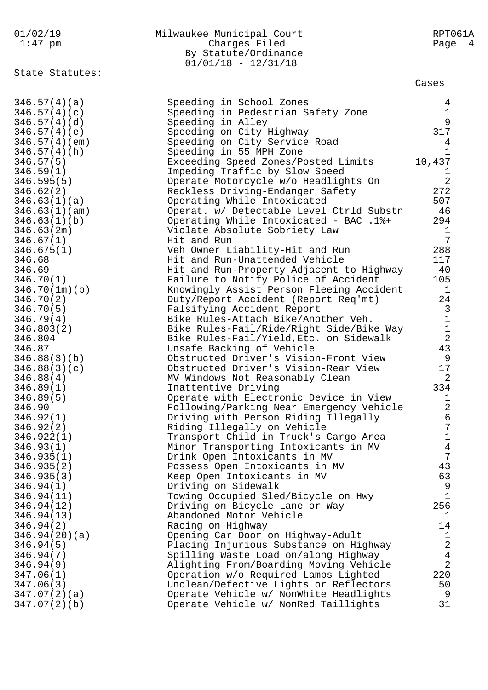| 01/02/19        | Milwaukee Municipal Court                | RPT061A        |
|-----------------|------------------------------------------|----------------|
| 1:47 pm         | Charges Filed                            | Page 4         |
|                 | By Statute/Ordinance                     |                |
|                 | $01/01/18 - 12/31/18$                    |                |
| State Statutes: |                                          |                |
|                 |                                          | Cases          |
| 346.57(4)(a)    | Speeding in School Zones                 | 4              |
| 346.57(4)(c)    | Speeding in Pedestrian Safety Zone       | $\mathbf{1}$   |
| 346.57(4)(d)    | Speeding in Alley                        | 9              |
| 346.57(4)(e)    | Speeding on City Highway                 | 317            |
| 346.57(4)(em)   | Speeding on City Service Road            | 4              |
| 346.57(4)(h)    | Speeding in 55 MPH Zone                  | $\mathbf{1}$   |
| 346.57(5)       | Exceeding Speed Zones/Posted Limits      | 10,437         |
| 346.59(1)       | Impeding Traffic by Slow Speed           | $\mathbf{1}$   |
| 346.595(5)      | Operate Motorcycle w/o Headlights On     | $\overline{2}$ |
| 346.62(2)       | Reckless Driving-Endanger Safety         | 272            |
| 346.63(1)(a)    | Operating While Intoxicated              | 507            |
| 346.63(1)(am)   | Operat. w/ Detectable Level Ctrld Substn | 46             |
| 346.63(1)(b)    | Operating While Intoxicated - BAC .1%+   | 294            |
| 346.63(2m)      | Violate Absolute Sobriety Law            | $\mathbf{1}$   |
| 346.67(1)       | Hit and Run                              | 7              |
| 346.675(1)      | Veh Owner Liability-Hit and Run          | 288            |
| 346.68          | Hit and Run-Unattended Vehicle           | 117            |
| 346.69          | Hit and Run-Property Adjacent to Highway | 40             |
| 346.70(1)       | Failure to Notify Police of Accident     | 105            |
| 346.70(1m)(b)   | Knowingly Assist Person Fleeing Accident | $\mathbf{1}$   |
| 346.70(2)       | Duty/Report Accident (Report Req'mt)     | 24             |
| 346.70(5)       | Falsifying Accident Report               | $\overline{3}$ |
| 346.79(4)       | Bike Rules-Attach Bike/Another Veh.      | $\mathbf 1$    |
| 346.803(2)      | Bike Rules-Fail/Ride/Right Side/Bike Way | $\mathbf 1$    |
| 346.804         | Bike Rules-Fail/Yield, Etc. on Sidewalk  | $\overline{2}$ |
| 346.87          | Unsafe Backing of Vehicle                | 43             |
| 346.88(3)(b)    | Obstructed Driver's Vision-Front View    | 9              |
| 346.88(3)(c)    | Obstructed Driver's Vision-Rear View     | 17             |
| 346.88(4)       | MV Windows Not Reasonably Clean          | 2              |
| 346.89(1)       | Inattentive Driving                      | 334            |
| 346.89(5)       | Operate with Electronic Device in View   | $\overline{1}$ |
| 346.90          | Following/Parking Near Emergency Vehicle | $\overline{2}$ |
| 346.92(1)       | Driving with Person Riding Illegally     | 6              |
| 346.92(2)       | Riding Illegally on Vehicle              | 7              |
| 346.922(1)      | Transport Child in Truck's Cargo Area    | $\mathbf 1$    |
| 346.93(1)       | Minor Transporting Intoxicants in MV     | $\overline{4}$ |
| 346.935(1)      | Drink Open Intoxicants in MV             | 7              |
| 346.935(2)      | Possess Open Intoxicants in MV           | 43             |
| 346.935(3)      | Keep Open Intoxicants in MV              | 63             |
| 346.94(1)       | Driving on Sidewalk                      | 9              |
| 346.94(11)      | Towing Occupied Sled/Bicycle on Hwy      | $\mathbf{1}$   |
| 346.94(12)      | Driving on Bicycle Lane or Way           | 256            |
| 346.94(13)      | Abandoned Motor Vehicle                  | 1              |
| 346.94(2)       | Racing on Highway                        | 14             |
| 346.94(20)(a)   | Opening Car Door on Highway-Adult        | $\mathbf{1}$   |
| 346.94(5)       | Placing Injurious Substance on Highway   | $\sqrt{2}$     |
| 346.94(7)       | Spilling Waste Load on/along Highway     | $\overline{4}$ |
| 346.94(9)       | Alighting From/Boarding Moving Vehicle   | $\overline{a}$ |
| 347.06(1)       | Operation w/o Required Lamps Lighted     | 220            |
| 347.06(3)       | Unclean/Defective Lights or Reflectors   | 50             |
| 347.07(2)(a)    | Operate Vehicle w/ NonWhite Headlights   | 9              |
| 347.07(2)(b)    | Operate Vehicle w/ NonRed Taillights     | 31             |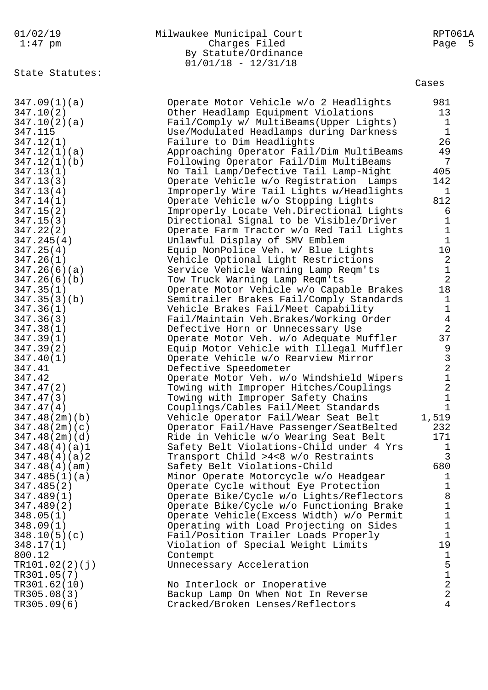|  |  | 01/02/19                  |
|--|--|---------------------------|
|  |  | $1 \cdot 17 \cdot \ldots$ |

| 01/02/19                                  | Milwaukee Municipal Court | RPT061A |
|-------------------------------------------|---------------------------|---------|
| $1:47$ pm                                 | Charges Filed             | Page 5  |
|                                           | By Statute/Ordinance      |         |
|                                           | $01/01/18 - 12/31/18$     |         |
| $\sim$ $\sim$ $\sim$ $\sim$ $\sim$ $\sim$ |                           |         |

State Statutes:

Cases

| 347.09(1)(a)   | Operate Motor Vehicle w/o 2 Headlights    | 981            |
|----------------|-------------------------------------------|----------------|
| 347.10(2)      | Other Headlamp Equipment Violations       | 13             |
| 347.10(2)(a)   | Fail/Comply w/ MultiBeams(Upper Lights)   | $\mathbf{1}$   |
| 347.115        | Use/Modulated Headlamps during Darkness   | $\mathbf{1}$   |
| 347.12(1)      | Failure to Dim Headlights                 | 26             |
| 347.12(1)(a)   | Approaching Operator Fail/Dim MultiBeams  | 49             |
| 347.12(1)(b)   | Following Operator Fail/Dim MultiBeams    | 7              |
| 347.13(1)      | No Tail Lamp/Defective Tail Lamp-Night    | 405            |
| 347.13(3)      | Operate Vehicle w/o Registration Lamps    | 142            |
| 347.13(4)      | Improperly Wire Tail Lights w/Headlights  | $\mathbf{1}$   |
| 347.14(1)      | Operate Vehicle w/o Stopping Lights       | 812            |
| 347.15(2)      | Improperly Locate Veh.Directional Lights  | 6              |
| 347.15(3)      | Directional Signal to be Visible/Driver   | $\mathbf 1$    |
| 347.22(2)      | Operate Farm Tractor w/o Red Tail Lights  | $\mathbf{1}$   |
| 347.245(4)     | Unlawful Display of SMV Emblem            | $\mathbf{1}$   |
| 347.25(4)      | Equip NonPolice Veh. w/ Blue Lights       | $10 \,$        |
| 347.26(1)      | Vehicle Optional Light Restrictions       | 2              |
| 347.26(6)(a)   | Service Vehicle Warning Lamp Reqm'ts      | $\mathbf{1}$   |
| 347.26(6)(b)   | Tow Truck Warning Lamp Reqm'ts            | $\sqrt{2}$     |
| 347.35(1)      | Operate Motor Vehicle w/o Capable Brakes  | 18             |
| 347.35(3)(b)   | Semitrailer Brakes Fail/Comply Standards  | $\mathbf{1}$   |
| 347.36(1)      | Vehicle Brakes Fail/Meet Capability       | $\mathbf{1}$   |
| 347.36(3)      | Fail/Maintain Veh.Brakes/Working Order    | $\overline{4}$ |
| 347.38(1)      | Defective Horn or Unnecessary Use         | $\sqrt{2}$     |
| 347.39(1)      | Operate Motor Veh. w/o Adequate Muffler   | 37             |
| 347.39(2)      | Equip Motor Vehicle with Illegal Muffler  | 9              |
| 347.40(1)      | Operate Vehicle w/o Rearview Mirror       | $\mathsf{3}$   |
| 347.41         | Defective Speedometer                     | $\sqrt{2}$     |
| 347.42         | Operate Motor Veh. w/o Windshield Wipers  | $\mathbf 1$    |
| 347.47(2)      | Towing with Improper Hitches/Couplings    | $\sqrt{2}$     |
| 347.47(3)      | Towing with Improper Safety Chains        | $\mathbf 1$    |
| 347.47(4)      | Couplings/Cables Fail/Meet Standards      | $\mathbf{1}$   |
| 347.48(2m)(b)  | Vehicle Operator Fail/Wear Seat Belt      | 1,519          |
| 347.48(2m)(c)  | Operator Fail/Have Passenger/SeatBelted   | 232            |
| 347.48(2m)(d)  | Ride in Vehicle w/o Wearing Seat Belt     | 171            |
| 347.48(4)(a)1  | Safety Belt Violations-Child under 4 Yrs  | $\mathbf 1$    |
| 347.48(4)(a)2  | Transport Child >4<8 w/o Restraints       | $\mathsf{3}$   |
| 347.48(4)(am)  | Safety Belt Violations-Child              | 680            |
| 347.485(1)(a)  | Minor Operate Motorcycle w/o Headgear     | $\mathbf{1}$   |
| 347.485(2)     | Operate Cycle without Eye Protection      | $\mathbf 1$    |
| 347.489(1)     | Operate Bike/Cycle w/o Lights/Reflectors  | 8              |
| 347.489(2)     | Operate Bike/Cycle w/o Functioning Brake  | $\mathbf 1$    |
| 348.05(1)      | Operate Vehicle (Excess Width) w/o Permit | $\mathbf 1$    |
| 348.09(1)      | Operating with Load Projecting on Sides   | $\mathbf 1$    |
| 348.10(5)(c)   | Fail/Position Trailer Loads Properly      | $\mathbf{1}$   |
| 348.17(1)      | Violation of Special Weight Limits        | 19             |
| 800.12         | Contempt                                  | $\mathbf{1}$   |
| TR101.02(2)(j) | Unnecessary Acceleration                  | 5              |
| TR301.05(7)    |                                           | $\mathbf 1$    |
| TR301.62(10)   | No Interlock or Inoperative               | $\sqrt{2}$     |
| TR305.08(3)    | Backup Lamp On When Not In Reverse        | $\overline{2}$ |
| TR305.09(6)    | Cracked/Broken Lenses/Reflectors          | $\overline{4}$ |
|                |                                           |                |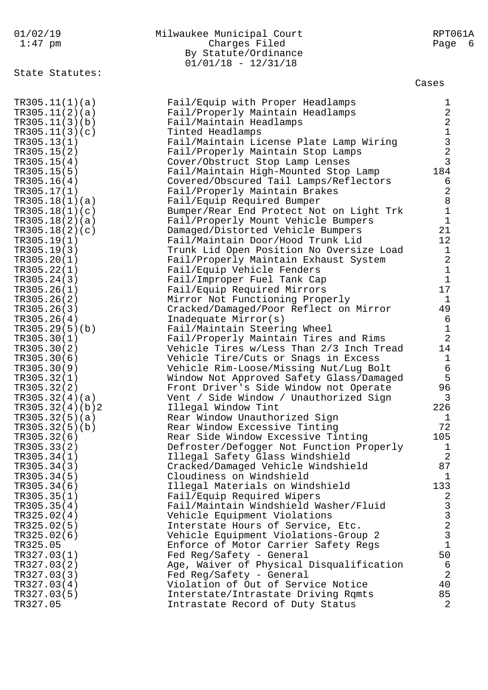| 01/02/19<br>$1:47$ pm         | Milwaukee Municipal Court<br>Charges Filed<br>By Statute/Ordinance<br>$01/01/18 - 12/31/18$ | RPT061A<br>Page 6                                 |
|-------------------------------|---------------------------------------------------------------------------------------------|---------------------------------------------------|
| State Statutes:               |                                                                                             | Cases                                             |
| TR305.11(1)(a)                | Fail/Equip with Proper Headlamps                                                            | $\mathbf 1$                                       |
| TR305.11(2)(a)                | Fail/Properly Maintain Headlamps                                                            | $\sqrt{2}$                                        |
| TR305.11(3)(b)                | Fail/Maintain Headlamps                                                                     | $\sqrt{2}$                                        |
| TR305.11(3)(c)                | Tinted Headlamps                                                                            | $\begin{array}{c}\n1 \\ 3 \\ 2 \\ 3\n\end{array}$ |
| TR305.13(1)<br>TR305.15(2)    | Fail/Maintain License Plate Lamp Wiring<br>Fail/Properly Maintain Stop Lamps                |                                                   |
| TR305.15(4)                   | Cover/Obstruct Stop Lamp Lenses                                                             |                                                   |
| TR305.15(5)                   | Fail/Maintain High-Mounted Stop Lamp                                                        | 184                                               |
| TR305.16(4)                   | Covered/Obscured Tail Lamps/Reflectors                                                      | 6                                                 |
| TR305.17(1)                   | Fail/Properly Maintain Brakes                                                               | $\sqrt{2}$                                        |
| TR305.18(1)(a)                | Fail/Equip Required Bumper                                                                  | $\,8\,$                                           |
| TR305.18(1)(c)                | Bumper/Rear End Protect Not on Light Trk                                                    | $\mathbf 1$                                       |
| TR305.18(2)(a)                | Fail/Properly Mount Vehicle Bumpers                                                         | $\mathbf 1$                                       |
| TR305.18(2)(c)                | Damaged/Distorted Vehicle Bumpers                                                           | 21                                                |
| TR305.19(1)                   | Fail/Maintain Door/Hood Trunk Lid                                                           | 12                                                |
| TR305.19(3)                   | Trunk Lid Open Position No Oversize Load                                                    | $\mathbf{1}$                                      |
| TR305.20(1)                   | Fail/Properly Maintain Exhaust System                                                       | $\sqrt{2}$                                        |
| TR305.22(1)                   | Fail/Equip Vehicle Fenders                                                                  | $\mathbf 1$<br>$\mathbf{1}$                       |
| TR305.24(3)<br>TR305.26(1)    | Fail/Improper Fuel Tank Cap<br>Fail/Equip Required Mirrors                                  | 17                                                |
| TR305.26(2)                   | Mirror Not Functioning Properly                                                             | $\mathbf{1}$                                      |
| TR305.26(3)                   | Cracked/Damaged/Poor Reflect on Mirror                                                      | 49                                                |
| TR305.26(4)                   | Inadequate Mirror(s)                                                                        | 6                                                 |
| TR305.29(5)(b)                | Fail/Maintain Steering Wheel                                                                | $\frac{1}{2}$                                     |
| TR305.30(1)                   | Fail/Properly Maintain Tires and Rims                                                       |                                                   |
| TR305.30(2)                   | Vehicle Tires w/Less Than 2/3 Inch Tread                                                    | 14                                                |
| TR305.30(6)                   | Vehicle Tire/Cuts or Snags in Excess                                                        | $\mathbf{1}$                                      |
| TR305.30(9)                   | Vehicle Rim-Loose/Missing Nut/Lug Bolt                                                      | $\epsilon$                                        |
| TR305.32(1)                   | Window Not Approved Safety Glass/Damaged                                                    | 5                                                 |
| TR305.32(2)<br>TR305.32(4)(a) | Front Driver's Side Window not Operate<br>Vent / Side Window / Unauthorized Sign            | 96<br>3                                           |
| TR305.32(4)(b)2               | Illegal Window Tint                                                                         | 226                                               |
| TR305.32(5)(a)                | Rear Window Unauthorized Sign                                                               | 1                                                 |
| TR305.32(5)(b)                | Rear Window Excessive Tinting                                                               | 72                                                |
| TR305.32(6)                   | Rear Side Window Excessive Tinting                                                          | 105                                               |
| TR305.33(2)                   | Defroster/Defogger Not Function Properly                                                    | $\mathbf{1}$                                      |
| TR305.34(1)                   | Illegal Safety Glass Windshield                                                             | $\overline{a}$                                    |
| TR305.34(3)                   | Cracked/Damaged Vehicle Windshield                                                          | 87                                                |
| TR305.34(5)                   | Cloudiness on Windshield                                                                    | 1                                                 |
| TR305.34(6)                   | Illegal Materials on Windshield                                                             | 133                                               |
| TR305.35(1)                   | Fail/Equip Required Wipers                                                                  | 2                                                 |
| TR305.35(4)                   | Fail/Maintain Windshield Washer/Fluid                                                       |                                                   |
| TR325.02(4)<br>TR325.02(5)    | Vehicle Equipment Violations<br>Interstate Hours of Service, Etc.                           | $\begin{array}{c}\n3 \\ 3 \\ 2 \\ 3\n\end{array}$ |
| TR325.02(6)                   | Vehicle Equipment Violations-Group 2                                                        |                                                   |
| TR325.05                      | Enforce of Motor Carrier Safety Regs                                                        | $1\,$                                             |
| TR327.03(1)                   | Fed Reg/Safety - General                                                                    | 50                                                |
| TR327.03(2)                   | Age, Waiver of Physical Disqualification                                                    | 6                                                 |
| TR327.03(3)                   | Fed Reg/Safety - General                                                                    | $\overline{a}$                                    |
| TR327.03(4)                   | Violation of Out of Service Notice                                                          | 40                                                |
| TR327.03(5)                   | Interstate/Intrastate Driving Rqmts                                                         | 85                                                |
| TR327.05                      | Intrastate Record of Duty Status                                                            | $\overline{2}$                                    |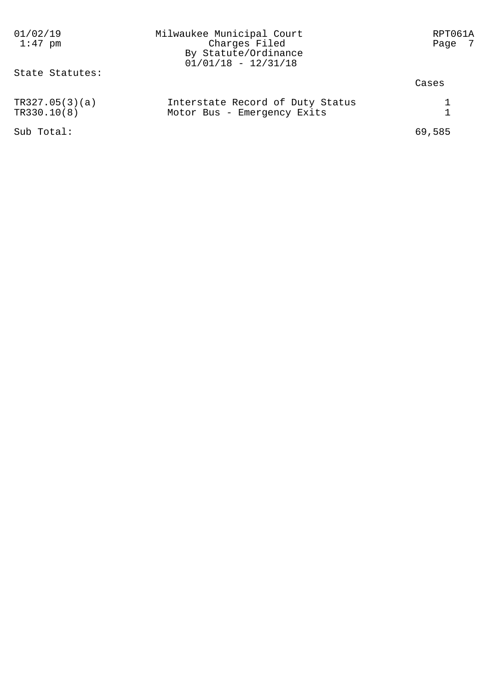| 01/02/19<br>$1:47$ pm         | Milwaukee Municipal Court<br>Charges Filed<br>By Statute/Ordinance<br>$01/01/18 - 12/31/18$ | RPT061A<br>Page 7 |
|-------------------------------|---------------------------------------------------------------------------------------------|-------------------|
| State Statutes:               |                                                                                             | Cases             |
| TR327.05(3)(a)<br>TR330.10(8) | Interstate Record of Duty Status<br>Motor Bus - Emergency Exits                             |                   |
| Sub Total:                    |                                                                                             | 69,585            |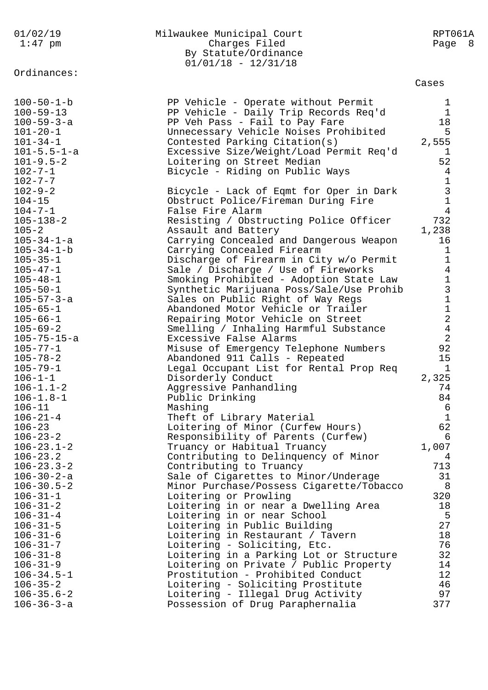| 01/02/19<br>$1:47$ pm                                                                                                                                                                                                                                                                                                                                                                                                                                                                                                                                     | Milwaukee Municipal Court<br>Charges Filed<br>By Statute/Ordinance<br>$01/01/18 - 12/31/18$                                                                                                                                                                                                                                                                                                                                                                                                                                                                                                                                                                                                                                                                                                                                                                                                                                                                                                                            | RPT061A<br>Page 8                                                                                                                                                                                                                                                                                                                     |
|-----------------------------------------------------------------------------------------------------------------------------------------------------------------------------------------------------------------------------------------------------------------------------------------------------------------------------------------------------------------------------------------------------------------------------------------------------------------------------------------------------------------------------------------------------------|------------------------------------------------------------------------------------------------------------------------------------------------------------------------------------------------------------------------------------------------------------------------------------------------------------------------------------------------------------------------------------------------------------------------------------------------------------------------------------------------------------------------------------------------------------------------------------------------------------------------------------------------------------------------------------------------------------------------------------------------------------------------------------------------------------------------------------------------------------------------------------------------------------------------------------------------------------------------------------------------------------------------|---------------------------------------------------------------------------------------------------------------------------------------------------------------------------------------------------------------------------------------------------------------------------------------------------------------------------------------|
| Ordinances:                                                                                                                                                                                                                                                                                                                                                                                                                                                                                                                                               |                                                                                                                                                                                                                                                                                                                                                                                                                                                                                                                                                                                                                                                                                                                                                                                                                                                                                                                                                                                                                        | Cases                                                                                                                                                                                                                                                                                                                                 |
| $100 - 50 - 1 - b$<br>$100 - 59 - 13$<br>$100 - 59 - 3 - a$<br>$101 - 20 - 1$<br>$101 - 34 - 1$<br>$101 - 5.5 - 1 - a$<br>$101 - 9.5 - 2$<br>$102 - 7 - 1$                                                                                                                                                                                                                                                                                                                                                                                                | PP Vehicle - Operate without Permit<br>PP Vehicle - Daily Trip Records Req'd<br>PP Veh Pass - Fail to Pay Fare<br>Unnecessary Vehicle Noises Prohibited<br>Contested Parking Citation(s)<br>Excessive Size/Weight/Load Permit Req'd<br>Loitering on Street Median<br>Bicycle - Riding on Public Ways                                                                                                                                                                                                                                                                                                                                                                                                                                                                                                                                                                                                                                                                                                                   | 1<br>$\mathbf 1$<br>18<br>5<br>2,555<br>$\mathbf 1$<br>52<br>$\overline{4}$                                                                                                                                                                                                                                                           |
| $102 - 7 - 7$<br>$102 - 9 - 2$<br>$104 - 15$<br>$104 - 7 - 1$<br>$105 - 138 - 2$<br>$105 - 2$<br>$105 - 34 - 1 - a$<br>$105 - 34 - 1 - b$<br>$105 - 35 - 1$<br>$105 - 47 - 1$<br>$105 - 48 - 1$<br>$105 - 50 - 1$<br>$105 - 57 - 3 - a$<br>$105 - 65 - 1$<br>$105 - 66 - 1$<br>$105 - 69 - 2$<br>$105 - 75 - 15 - a$<br>$105 - 77 - 1$<br>$105 - 78 - 2$<br>$105 - 79 - 1$<br>$106 - 1 - 1$<br>$106 - 1.1 - 2$<br>$106 - 1.8 - 1$<br>$106 - 11$<br>$106 - 21 - 4$<br>$106 - 23$<br>$106 - 23 - 2$<br>$106 - 23.1 - 2$<br>$106 - 23.2$<br>$106 - 23.3 - 2$ | Bicycle - Lack of Eqmt for Oper in Dark<br>Obstruct Police/Fireman During Fire<br>False Fire Alarm<br>Resisting / Obstructing Police Officer<br>Assault and Battery<br>Carrying Concealed and Dangerous Weapon<br>Carrying Concealed Firearm<br>Discharge of Firearm in City w/o Permit<br>Sale / Discharge / Use of Fireworks<br>Smoking Prohibited - Adoption State Law<br>Synthetic Marijuana Poss/Sale/Use Prohib<br>Sales on Public Right of Way Regs<br>Abandoned Motor Vehicle or Trailer<br>Repairing Motor Vehicle on Street<br>Smelling / Inhaling Harmful Substance<br>Excessive False Alarms<br>Misuse of Emergency Telephone Numbers<br>Abandoned 911 Calls - Repeated<br>Legal Occupant List for Rental Prop Req<br>Disorderly Conduct<br>Aggressive Panhandling<br>Public Drinking<br>Mashing<br>Theft of Library Material<br>Loitering of Minor (Curfew Hours)<br>Responsibility of Parents (Curfew)<br>Truancy or Habitual Truancy<br>Contributing to Delinquency of Minor<br>Contributing to Truancy | $1\,$<br>$\mathsf{3}$<br>$\mathbf 1$<br>4<br>732<br>1,238<br>16<br>$\mathbf 1$<br>$\mathbf 1$<br>$\overline{4}$<br>$1\,$<br>$\mathsf 3$<br>$\mathbf 1$<br>$\mathbf 1$<br>$\overline{2}$<br>$\sqrt{4}$<br>$\overline{2}$<br>92<br>15<br>$\mathbf{1}$<br>2,325<br>74<br>84<br>$\epsilon$<br>$\mathbf 1$<br>62<br>6<br>1,007<br>4<br>713 |
| $106 - 30 - 2 - a$<br>$106 - 30.5 - 2$<br>$106 - 31 - 1$<br>$106 - 31 - 2$<br>$106 - 31 - 4$<br>$106 - 31 - 5$<br>$106 - 31 - 6$<br>$106 - 31 - 7$<br>$106 - 31 - 8$<br>$106 - 31 - 9$<br>$106 - 34.5 - 1$<br>$106 - 35 - 2$<br>$106 - 35.6 - 2$<br>$106 - 36 - 3 - a$                                                                                                                                                                                                                                                                                    | Sale of Cigarettes to Minor/Underage<br>Minor Purchase/Possess Cigarette/Tobacco<br>Loitering or Prowling<br>Loitering in or near a Dwelling Area<br>Loitering in or near School<br>Loitering in Public Building<br>Loitering in Restaurant / Tavern<br>Loitering - Soliciting, Etc.<br>Loitering in a Parking Lot or Structure<br>Loitering on Private / Public Property<br>Prostitution - Prohibited Conduct<br>Loitering - Soliciting Prostitute<br>Loitering - Illegal Drug Activity<br>Possession of Drug Paraphernalia                                                                                                                                                                                                                                                                                                                                                                                                                                                                                           | 31<br>8<br>320<br>18<br>5<br>27<br>18<br>76<br>32<br>14<br>12<br>46<br>97<br>377                                                                                                                                                                                                                                                      |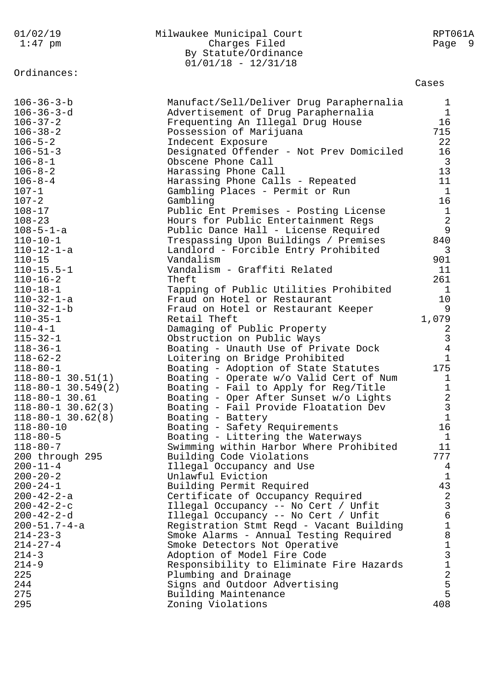| 01/02/19<br>$1:47$ pm    | Milwaukee Municipal Court<br>Charges Filed<br>By Statute/Ordinance<br>$01/01/18 - 12/31/18$ | RPT061A<br>Page 9 |
|--------------------------|---------------------------------------------------------------------------------------------|-------------------|
| Ordinances:              |                                                                                             | Cases             |
| $106 - 36 - 3 - b$       | Manufact/Sell/Deliver Drug Paraphernalia                                                    | 1                 |
| $106 - 36 - 3 - d$       | Advertisement of Drug Paraphernalia                                                         | 1                 |
| $106 - 37 - 2$           | Frequenting An Illegal Drug House                                                           | 16                |
| $106 - 38 - 2$           | Possession of Marijuana                                                                     | 715               |
| $106 - 5 - 2$            | Indecent Exposure                                                                           | 22                |
| $106 - 51 - 3$           | Designated Offender - Not Prev Domiciled                                                    | 16                |
| $106 - 8 - 1$            | Obscene Phone Call                                                                          | $\overline{3}$    |
| $106 - 8 - 2$            | Harassing Phone Call                                                                        | 13                |
| $106 - 8 - 4$            | Harassing Phone Calls - Repeated                                                            | 11                |
| $107 - 1$                | Gambling Places - Permit or Run                                                             | $\mathbf{1}$      |
| $107 - 2$                | Gambling                                                                                    | 16                |
| $108 - 17$               | Public Ent Premises - Posting License                                                       | $1\,$             |
| $108 - 23$               | Hours for Public Entertainment Regs                                                         | $\overline{2}$    |
| $108 - 5 - 1 - a$        | Public Dance Hall - License Required                                                        | 9                 |
| $110 - 10 - 1$           | Trespassing Upon Buildings / Premises                                                       | 840               |
| $110 - 12 - 1 - a$       | Landlord - Forcible Entry Prohibited                                                        | 3                 |
| $110 - 15$               | Vandalism                                                                                   | 901               |
| $110 - 15.5 - 1$         | Vandalism - Graffiti Related                                                                | 11                |
| $110 - 16 - 2$           | Theft                                                                                       | 261               |
| $110 - 18 - 1$           | Tapping of Public Utilities Prohibited                                                      | 1                 |
| $110 - 32 - 1 - a$       | Fraud on Hotel or Restaurant                                                                | 10                |
| $110 - 32 - 1 - b$       | Fraud on Hotel or Restaurant Keeper                                                         | 9                 |
| $110 - 35 - 1$           | Retail Theft                                                                                | 1,079             |
| $110 - 4 - 1$            | Damaging of Public Property                                                                 | 2                 |
| $115 - 32 - 1$           | Obstruction on Public Ways                                                                  | 3                 |
| $118 - 36 - 1$           | Boating - Unauth Use of Private Dock                                                        | $\overline{4}$    |
| $118 - 62 - 2$           | Loitering on Bridge Prohibited                                                              | $\mathbf 1$       |
| $118 - 80 - 1$           | Boating - Adoption of State Statutes                                                        | 175               |
| $118 - 80 - 1$ 30.51(1)  | Boating - Operate w/o Valid Cert of Num                                                     | 1                 |
| $118 - 80 - 1$ 30.549(2) | Boating - Fail to Apply for Reg/Title                                                       | 1                 |
| $118 - 80 - 1$ 30.61     | Boating - Oper After Sunset w/o Lights                                                      | 2                 |
| $118 - 80 - 1$ 30.62(3)  | Boating - Fail Provide Floatation Dev                                                       | 3                 |
| $118 - 80 - 1$ 30.62(8)  | Boating - Battery                                                                           | $\mathbf 1$       |
| $118 - 80 - 10$          | Boating - Safety Requirements                                                               | 16                |
| $118 - 80 - 5$           | Boating - Littering the Waterways                                                           | $\mathbf{1}$      |
| $118 - 80 - 7$           | Swimming within Harbor Where Prohibited                                                     | 11                |
| 200 through 295          | Building Code Violations                                                                    | 777               |
| $200 - 11 - 4$           | Illegal Occupancy and Use                                                                   | 4                 |
| $200 - 20 - 2$           | Unlawful Eviction                                                                           | $\mathbf{1}$      |
| $200 - 24 - 1$           | Building Permit Required                                                                    | 43                |
| $200 - 42 - 2 - a$       | Certificate of Occupancy Required                                                           | $\overline{a}$    |
| $200 - 42 - 2 - c$       | Illegal Occupancy -- No Cert / Unfit                                                        | 3                 |
| $200 - 42 - 2 - d$       | Illegal Occupancy -- No Cert / Unfit                                                        | 6                 |
| $200 - 51.7 - 4 - a$     | Registration Stmt Reqd - Vacant Building                                                    | $\mathbf 1$       |
| $214 - 23 - 3$           | Smoke Alarms - Annual Testing Required                                                      | 8                 |
| $214 - 27 - 4$           | Smoke Detectors Not Operative                                                               | 1                 |
| $214 - 3$                | Adoption of Model Fire Code                                                                 | 3                 |
| $214 - 9$                | Responsibility to Eliminate Fire Hazards                                                    | 1                 |
| 225                      | Plumbing and Drainage                                                                       | $\sqrt{2}$        |
| 244                      | Signs and Outdoor Advertising                                                               | 5                 |
| 275                      | Building Maintenance                                                                        | 5                 |
| 295                      | Zoning Violations                                                                           | 408               |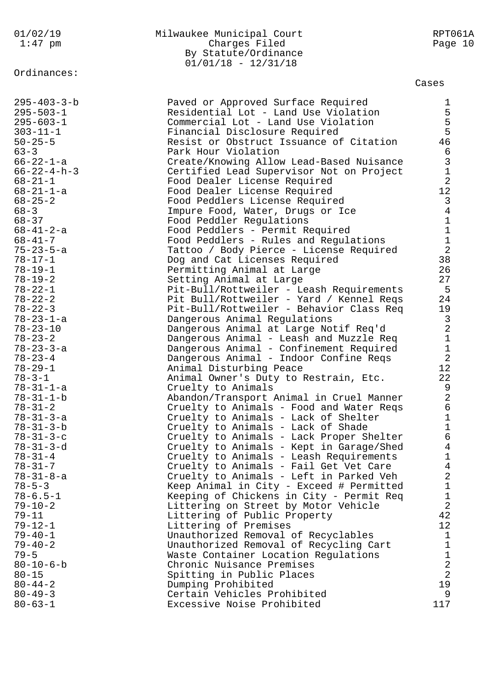Ordinances:

## 01/02/19 Milwaukee Municipal Court RPT061A 1:47 pm Charges Filed Page 10 By Statute/Ordinance 01/01/18 - 12/31/18

## Cases

| $295 - 403 - 3 - b$   | Paved or Approved Surface Required       | $\mathbf{1}$                               |
|-----------------------|------------------------------------------|--------------------------------------------|
| $295 - 503 - 1$       | Residential Lot - Land Use Violation     | 5                                          |
| $295 - 603 - 1$       | Commercial Lot - Land Use Violation      | 5                                          |
| $303 - 11 - 1$        | Financial Disclosure Required            | 5                                          |
| $50 - 25 - 5$         | Resist or Obstruct Issuance of Citation  | 46                                         |
|                       |                                          |                                            |
| $63 - 3$              | Park Hour Violation                      | $\sqrt{6}$                                 |
| $66 - 22 - 1 - a$     | Create/Knowing Allow Lead-Based Nuisance | $\begin{array}{c} 3 \\ 1 \end{array}$      |
| $66 - 22 - 4 - h - 3$ | Certified Lead Supervisor Not on Project |                                            |
| $68 - 21 - 1$         | Food Dealer License Required             | $\overline{2}$                             |
| $68 - 21 - 1 - a$     | Food Dealer License Required             | 12                                         |
| $68 - 25 - 2$         | Food Peddlers License Required           | $\mathsf{3}$                               |
| $68 - 3$              | Impure Food, Water, Drugs or Ice         | $\overline{4}$                             |
| $68 - 37$             | Food Peddler Regulations                 |                                            |
| 68-41-2-a             | Food Peddlers - Permit Required          | $\begin{array}{c} 1 \\ 1 \\ 2 \end{array}$ |
| $68 - 41 - 7$         | Food Peddlers - Rules and Regulations    |                                            |
| $75 - 23 - 5 - a$     | Tattoo / Body Pierce - License Required  |                                            |
| $78 - 17 - 1$         | Dog and Cat Licenses Required            | 38                                         |
| $78 - 19 - 1$         | Permitting Animal at Large               | 26                                         |
|                       |                                          | 27                                         |
| $78 - 19 - 2$         | Setting Animal at Large                  |                                            |
| $78 - 22 - 1$         | Pit-Bull/Rottweiler - Leash Requirements | 5                                          |
| $78 - 22 - 2$         | Pit Bull/Rottweiler - Yard / Kennel Reqs | 24                                         |
| $78 - 22 - 3$         | Pit-Bull/Rottweiler - Behavior Class Req | 19                                         |
| $78 - 23 - 1 - a$     | Dangerous Animal Regulations             | $\mathsf{3}$                               |
| $78 - 23 - 10$        | Dangerous Animal at Large Notif Req'd    | $\frac{2}{1}$                              |
| $78 - 23 - 2$         | Dangerous Animal - Leash and Muzzle Req  |                                            |
| $78 - 23 - 3 - a$     | Dangerous Animal - Confinement Required  | $\mathbf 1$                                |
| $78 - 23 - 4$         | Dangerous Animal - Indoor Confine Reqs   | $\overline{2}$                             |
| $78 - 29 - 1$         | Animal Disturbing Peace                  | 12                                         |
| $78 - 3 - 1$          | Animal Owner's Duty to Restrain, Etc.    | 22                                         |
| $78 - 31 - 1 - a$     | Cruelty to Animals                       | 9                                          |
| $78 - 31 - 1 - b$     | Abandon/Transport Animal in Cruel Manner | $\overline{2}$                             |
| $78 - 31 - 2$         | Cruelty to Animals - Food and Water Reqs | $\sqrt{6}$                                 |
| $78 - 31 - 3 - a$     | Cruelty to Animals - Lack of Shelter     | $\mathbf 1$                                |
|                       |                                          | $\mathbf{1}$                               |
| $78 - 31 - 3 - b$     | Cruelty to Animals - Lack of Shade       |                                            |
| $78 - 31 - 3 - c$     | Cruelty to Animals - Lack Proper Shelter | $\sqrt{6}$                                 |
| $78 - 31 - 3 - d$     | Cruelty to Animals - Kept in Garage/Shed | $\overline{4}$                             |
| $78 - 31 - 4$         | Cruelty to Animals - Leash Requirements  | $\mathbf{1}$                               |
| $78 - 31 - 7$         | Cruelty to Animals - Fail Get Vet Care   | $\overline{4}$                             |
| $78 - 31 - 8 - a$     | Cruelty to Animals - Left in Parked Veh  | $\mathbf{2}$                               |
| $78 - 5 - 3$          | Keep Animal in City - Exceed # Permitted | $\mathbf 1$                                |
| $78 - 6.5 - 1$        | Keeping of Chickens in City - Permit Req | $\mathbf 1$                                |
| $79 - 10 - 2$         | Littering on Street by Motor Vehicle     | $\overline{a}$                             |
| $79 - 11$             | Littering of Public Property             | 42                                         |
| $79 - 12 - 1$         | Littering of Premises                    | 12                                         |
| $79 - 40 - 1$         | Unauthorized Removal of Recyclables      | $\mathbf{1}$                               |
| $79 - 40 - 2$         | Unauthorized Removal of Recycling Cart   | $\mathbf 1$                                |
| $79 - 5$              | Waste Container Location Regulations     |                                            |
| $80 - 10 - 6 - b$     | Chronic Nuisance Premises                | $\frac{1}{2}$                              |
| $80 - 15$             |                                          | $\sqrt{2}$                                 |
|                       | Spitting in Public Places                | 19                                         |
| $80 - 44 - 2$         | Dumping Prohibited                       |                                            |
| $80 - 49 - 3$         | Certain Vehicles Prohibited              | 9                                          |
| $80 - 63 - 1$         | Excessive Noise Prohibited               | 117                                        |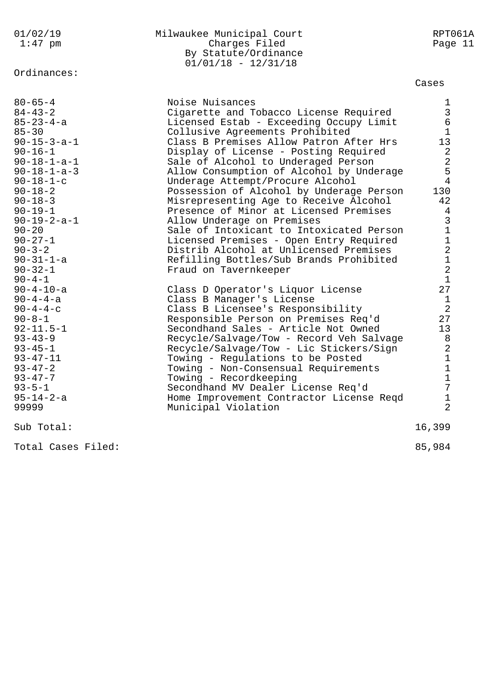Ordinances:

## 01/02/19 Milwaukee Municipal Court RPT061A 1:47 pm Charges Filed Page 11 By Statute/Ordinance 01/01/18 - 12/31/18

## Cases

| $80 - 65 - 4$<br>$84 - 43 - 2$<br>$85 - 23 - 4 - a$<br>$85 - 30$<br>$90 - 15 - 3 - a - 1$<br>$90 - 16 - 1$<br>$90 - 18 - 1 - a - 1$<br>$90 - 18 - 1 - a - 3$<br>$90 - 18 - 1 - c$<br>$90 - 18 - 2$<br>$90 - 18 - 3$<br>$90 - 19 - 1$<br>$90 - 19 - 2 - a - 1$<br>$90 - 20$<br>$90 - 27 - 1$<br>$90 - 3 - 2$<br>$90 - 31 - 1 - a$<br>$90 - 32 - 1$ | Noise Nuisances<br>Cigarette and Tobacco License Required<br>Licensed Estab - Exceeding Occupy Limit<br>Collusive Agreements Prohibited<br>Class B Premises Allow Patron After Hrs<br>Display of License - Posting Required<br>Sale of Alcohol to Underaged Person<br>Allow Consumption of Alcohol by Underage<br>Underage Attempt/Procure Alcohol<br>Possession of Alcohol by Underage Person<br>Misrepresenting Age to Receive Alcohol<br>Presence of Minor at Licensed Premises<br>Allow Underage on Premises<br>Sale of Intoxicant to Intoxicated Person<br>Licensed Premises - Open Entry Required<br>Distrib Alcohol at Unlicensed Premises<br>Refilling Bottles/Sub Brands Prohibited<br>Fraud on Tavernkeeper | $\mathbf 1$<br>$\mathsf{3}$<br>$\epsilon$<br>$\mathbf{1}$<br>13<br>$\sqrt{2}$<br>$\sqrt{2}$<br>5<br>$\overline{4}$<br>130<br>42<br>4<br>$\mathfrak{Z}$<br>$\mathbf 1$<br>$\mathbf 1$<br>$\overline{a}$<br>$1\,$<br>$\overline{a}$ |
|---------------------------------------------------------------------------------------------------------------------------------------------------------------------------------------------------------------------------------------------------------------------------------------------------------------------------------------------------|-----------------------------------------------------------------------------------------------------------------------------------------------------------------------------------------------------------------------------------------------------------------------------------------------------------------------------------------------------------------------------------------------------------------------------------------------------------------------------------------------------------------------------------------------------------------------------------------------------------------------------------------------------------------------------------------------------------------------|-----------------------------------------------------------------------------------------------------------------------------------------------------------------------------------------------------------------------------------|
| $90 - 4 - 1$<br>$90 - 4 - 10 - a$<br>$90 - 4 - 4 - a$<br>$90 - 4 - 4 - c$<br>$90 - 8 - 1$<br>$92 - 11.5 - 1$<br>$93 - 43 - 9$<br>$93 - 45 - 1$<br>$93 - 47 - 11$<br>$93 - 47 - 2$<br>$93 - 47 - 7$<br>$93 - 5 - 1$<br>$95 - 14 - 2 - a$<br>99999                                                                                                  | Class D Operator's Liquor License<br>Class B Manager's License<br>Class B Licensee's Responsibility<br>Responsible Person on Premises Req'd<br>Secondhand Sales - Article Not Owned<br>Recycle/Salvage/Tow - Record Veh Salvage<br>Recycle/Salvage/Tow - Lic Stickers/Sign<br>Towing - Regulations to be Posted<br>Towing - Non-Consensual Requirements<br>Towing - Recordkeeping<br>Secondhand MV Dealer License Req'd<br>Home Improvement Contractor License Reqd<br>Municipal Violation                                                                                                                                                                                                                            | $\mathbf{1}$<br>27<br>$\mathbf{1}$<br>$\overline{2}$<br>27<br>13<br>8<br>$\sqrt{2}$<br>$\mathbf 1$<br>$\mathbf 1$<br>$\mathbf 1$<br>7<br>$\mathbf 1$<br>$\overline{2}$                                                            |
| Sub Total:                                                                                                                                                                                                                                                                                                                                        |                                                                                                                                                                                                                                                                                                                                                                                                                                                                                                                                                                                                                                                                                                                       | 16,399                                                                                                                                                                                                                            |
| Total Cases Filed:                                                                                                                                                                                                                                                                                                                                |                                                                                                                                                                                                                                                                                                                                                                                                                                                                                                                                                                                                                                                                                                                       | 85,984                                                                                                                                                                                                                            |